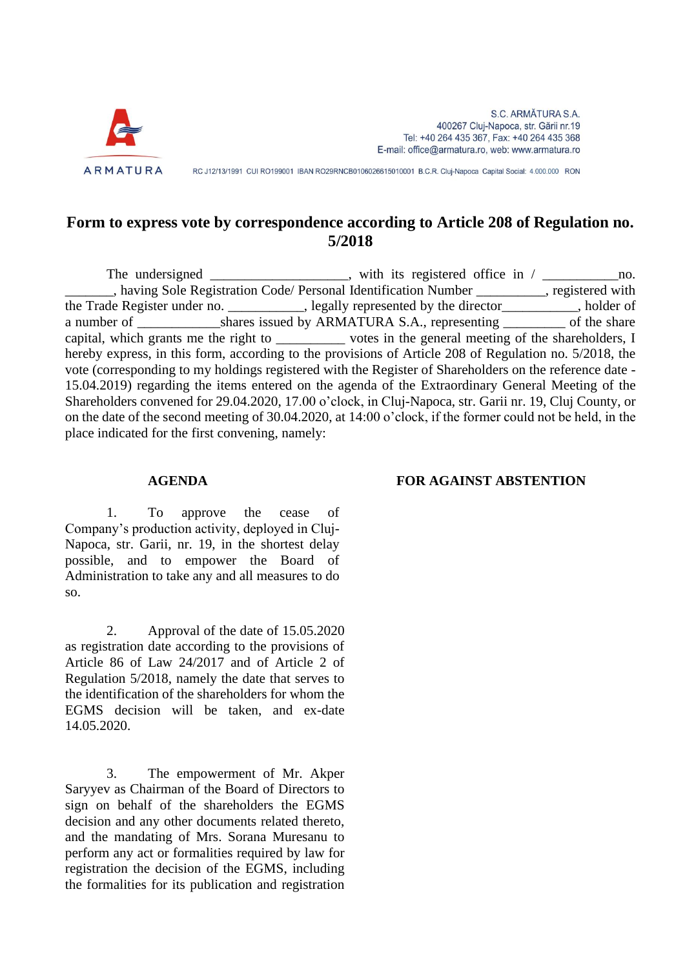

RC J12/13/1991 CUI RO199001 IBAN RO29RNCB0106026615010001 B.C.R. Cluj-Napoca Capital Social: 4.000.000 RON

## **Form to express vote by correspondence according to Article 208 of Regulation no. 5/2018**

The undersigned \_\_\_\_\_\_\_\_\_\_\_\_\_\_\_, with its registered office in / \_\_\_\_\_\_\_\_\_\_\_\_\_\_\_no. \_, having Sole Registration Code/ Personal Identification Number \_\_\_\_\_\_\_\_, registered with the Trade Register under no. \_\_\_\_\_\_\_\_\_\_, legally represented by the director\_\_\_\_\_\_\_\_, holder of a number of \_\_\_\_\_\_\_\_\_\_\_\_shares issued by ARMATURA S.A., representing \_\_\_\_\_\_\_\_\_\_ of the share capital, which grants me the right to \_\_\_\_\_\_\_\_\_\_ votes in the general meeting of the shareholders, I hereby express, in this form, according to the provisions of Article 208 of Regulation no. 5/2018, the vote (corresponding to my holdings registered with the Register of Shareholders on the reference date - 15.04.2019) regarding the items entered on the agenda of the Extraordinary General Meeting of the Shareholders convened for 29.04.2020, 17.00 o'clock, in Cluj-Napoca, str. Garii nr. 19, Cluj County, or on the date of the second meeting of 30.04.2020, at 14:00 o'clock, if the former could not be held, in the place indicated for the first convening, namely:

## **AGENDA FOR AGAINST ABSTENTION**

1. To approve the cease of Company's production activity, deployed in Cluj-Napoca, str. Garii, nr. 19, in the shortest delay possible, and to empower the Board of Administration to take any and all measures to do so.

2. Approval of the date of 15.05.2020 as registration date according to the provisions of Article 86 of Law 24/2017 and of Article 2 of Regulation 5/2018, namely the date that serves to the identification of the shareholders for whom the EGMS decision will be taken, and ex-date 14.05.2020.

3. The empowerment of Mr. Akper Saryyev as Chairman of the Board of Directors to sign on behalf of the shareholders the EGMS decision and any other documents related thereto, and the mandating of Mrs. Sorana Muresanu to perform any act or formalities required by law for registration the decision of the EGMS, including the formalities for its publication and registration